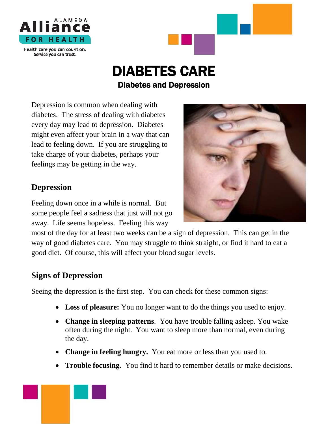



## **DIABETES CARE**<br>Diabetes and Depression

Depression is common when dealing with diabetes. The stress of dealing with diabetes every day may lead to depression. Diabetes might even affect your brain in a way that can lead to feeling down. If you are struggling to take charge of your diabetes, perhaps your feelings may be getting in the way.

## **Depression**

Feeling down once in a while is normal. But some people feel a sadness that just will not go away. Life seems hopeless. Feeling this way



most of the day for at least two weeks can be a sign of depression. This can get in the way of good diabetes care. You may struggle to think straight, or find it hard to eat a good diet. Of course, this will affect your blood sugar levels.

## **Signs of Depression**

Seeing the depression is the first step. You can check for these common signs:

- **Loss of pleasure:** You no longer want to do the things you used to enjoy.
- **Change in sleeping patterns**. You have trouble falling asleep. You wake often during the night. You want to sleep more than normal, even during the day.
- **Change in feeling hungry.** You eat more or less than you used to.
- **Trouble focusing.** You find it hard to remember details or make decisions.